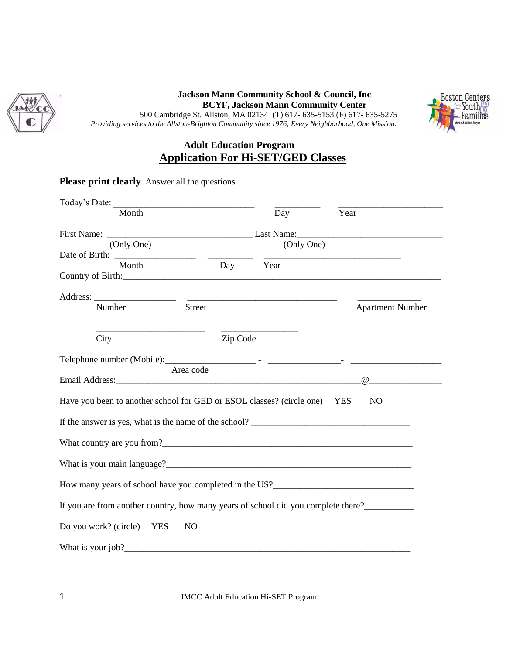

#### **Jackson Mann Community School & Council, Inc BCYF, Jackson Mann Community Center** 500 Cambridge St. Allston, MA 02134 (T) 617- 635-5153 (F) 617- 635-5275 *Providing services to the Allston-Brighton Community since 1976; Every Neighborhood, One Mission.*



## **Adult Education Program Application For Hi-SET/GED Classes**

### **Please print clearly**. Answer all the questions.

| Today's Date: Note:                                                               |               |          |                                                                                                                       |                         |
|-----------------------------------------------------------------------------------|---------------|----------|-----------------------------------------------------------------------------------------------------------------------|-------------------------|
| Month                                                                             |               |          | Day                                                                                                                   | Year                    |
| (Only One)                                                                        |               |          | (Only One)                                                                                                            |                         |
|                                                                                   |               |          |                                                                                                                       |                         |
| Month<br>Country of Birth: Country of Birth:                                      |               | Day Year |                                                                                                                       |                         |
|                                                                                   |               |          | <u> 1989 - Johann Harry Harry Harry Harry Harry Harry Harry Harry Harry Harry Harry Harry Harry Harry Harry Harry</u> |                         |
| Number                                                                            | <b>Street</b> |          |                                                                                                                       | <b>Apartment Number</b> |
| City                                                                              |               | Zip Code |                                                                                                                       |                         |
|                                                                                   |               |          |                                                                                                                       |                         |
|                                                                                   | Area code     |          |                                                                                                                       |                         |
| Have you been to another school for GED or ESOL classes? (circle one) YES         |               |          |                                                                                                                       | N <sub>O</sub>          |
| If the answer is yes, what is the name of the school?                             |               |          |                                                                                                                       |                         |
|                                                                                   |               |          |                                                                                                                       |                         |
| What is your main language?                                                       |               |          |                                                                                                                       |                         |
|                                                                                   |               |          |                                                                                                                       |                         |
| If you are from another country, how many years of school did you complete there? |               |          |                                                                                                                       |                         |
| Do you work? (circle) YES<br>N <sub>O</sub>                                       |               |          |                                                                                                                       |                         |
|                                                                                   |               |          |                                                                                                                       |                         |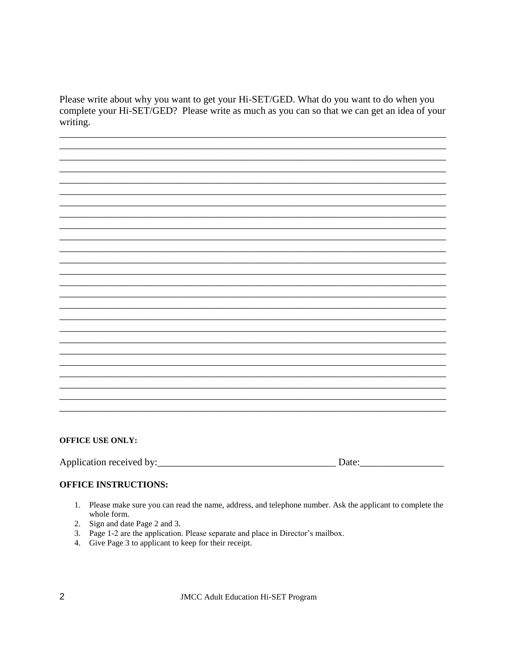Please write about why you want to get your Hi-SET/GED. What do you want to do when you complete your Hi-SET/GED? Please write as much as you can so that we can get an idea of your writing.

#### **OFFICE USE ONLY:**

#### **OFFICE INSTRUCTIONS:**

- 1. Please make sure you can read the name, address, and telephone number. Ask the applicant to complete the whole form.
- 2. Sign and date Page 2 and 3.
- 3. Page 1-2 are the application. Please separate and place in Director's mailbox.
- 4. Give Page 3 to applicant to keep for their receipt.

**JMCC Adult Education Hi-SET Program**